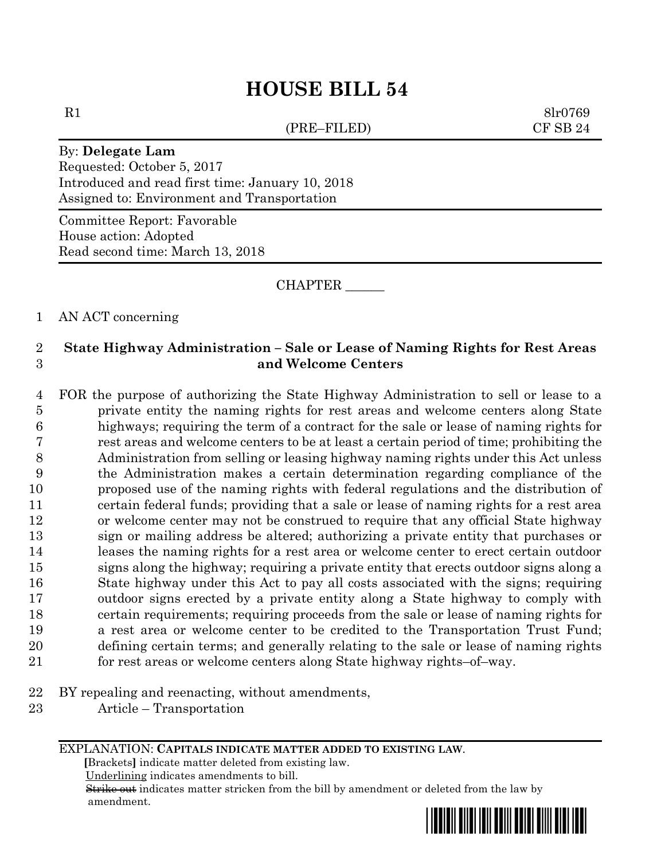# **HOUSE BILL 54**

(PRE–FILED) CF SB 24

 $R1$  8lr0769

#### By: **Delegate Lam**

Requested: October 5, 2017 Introduced and read first time: January 10, 2018 Assigned to: Environment and Transportation

Committee Report: Favorable House action: Adopted Read second time: March 13, 2018

CHAPTER \_\_\_\_\_\_

#### 1 AN ACT concerning

## 2 **State Highway Administration – Sale or Lease of Naming Rights for Rest Areas**  3 **and Welcome Centers**

 FOR the purpose of authorizing the State Highway Administration to sell or lease to a private entity the naming rights for rest areas and welcome centers along State highways; requiring the term of a contract for the sale or lease of naming rights for rest areas and welcome centers to be at least a certain period of time; prohibiting the Administration from selling or leasing highway naming rights under this Act unless the Administration makes a certain determination regarding compliance of the proposed use of the naming rights with federal regulations and the distribution of certain federal funds; providing that a sale or lease of naming rights for a rest area or welcome center may not be construed to require that any official State highway sign or mailing address be altered; authorizing a private entity that purchases or leases the naming rights for a rest area or welcome center to erect certain outdoor signs along the highway; requiring a private entity that erects outdoor signs along a State highway under this Act to pay all costs associated with the signs; requiring outdoor signs erected by a private entity along a State highway to comply with certain requirements; requiring proceeds from the sale or lease of naming rights for a rest area or welcome center to be credited to the Transportation Trust Fund; defining certain terms; and generally relating to the sale or lease of naming rights for rest areas or welcome centers along State highway rights–of–way.

- 22 BY repealing and reenacting, without amendments,
- 23 Article Transportation

EXPLANATION: **CAPITALS INDICATE MATTER ADDED TO EXISTING LAW**.

 **[**Brackets**]** indicate matter deleted from existing law.

Underlining indicates amendments to bill.

 Strike out indicates matter stricken from the bill by amendment or deleted from the law by amendment.

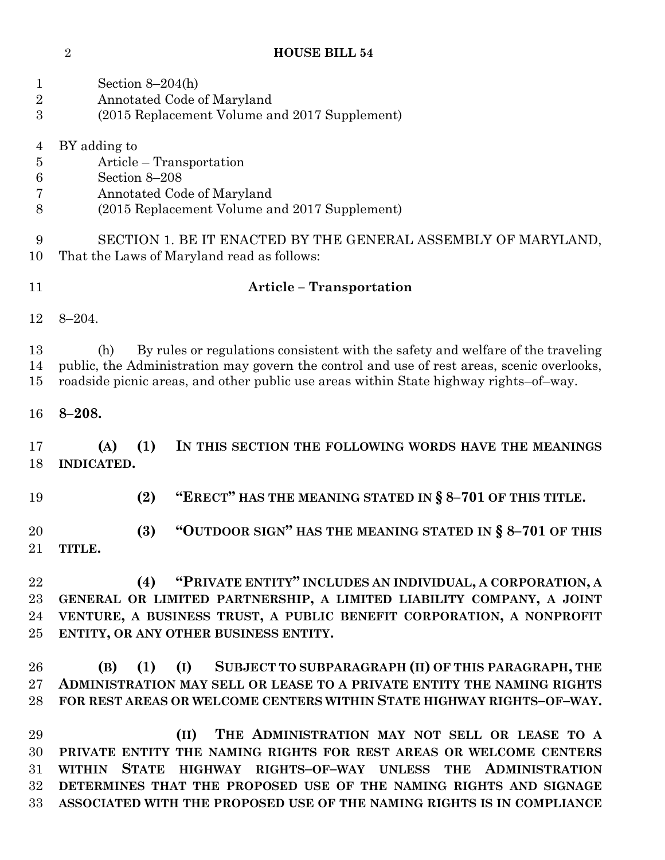## **HOUSE BILL 54**

| $\mathbf 1$<br>$\overline{2}$<br>3       | Section $8-204(h)$<br>Annotated Code of Maryland<br>(2015 Replacement Volume and 2017 Supplement)                                                                                                                                                                             |
|------------------------------------------|-------------------------------------------------------------------------------------------------------------------------------------------------------------------------------------------------------------------------------------------------------------------------------|
| $\overline{4}$<br>$\bf 5$<br>6<br>7<br>8 | BY adding to<br>Article – Transportation<br>Section 8-208<br>Annotated Code of Maryland<br>(2015 Replacement Volume and 2017 Supplement)                                                                                                                                      |
| 9<br>10                                  | SECTION 1. BE IT ENACTED BY THE GENERAL ASSEMBLY OF MARYLAND,<br>That the Laws of Maryland read as follows:                                                                                                                                                                   |
| 11                                       | <b>Article - Transportation</b>                                                                                                                                                                                                                                               |
| 12                                       | $8 - 204.$                                                                                                                                                                                                                                                                    |
| 13<br>14<br>15                           | By rules or regulations consistent with the safety and welfare of the traveling<br>(h)<br>public, the Administration may govern the control and use of rest areas, scenic overlooks,<br>roadside picnic areas, and other public use areas within State highway rights-of-way. |
| 16                                       | $8 - 208.$                                                                                                                                                                                                                                                                    |
| 17<br>18                                 | (A)<br>(1)<br>IN THIS SECTION THE FOLLOWING WORDS HAVE THE MEANINGS<br>INDICATED.                                                                                                                                                                                             |
| 19                                       | "ERECT" HAS THE MEANING STATED IN § 8-701 OF THIS TITLE.<br>(2)                                                                                                                                                                                                               |
| 20<br>21                                 | "OUTDOOR SIGN" HAS THE MEANING STATED IN § 8-701 OF THIS<br>(3)<br>TITLE.                                                                                                                                                                                                     |
| 22<br>23<br>24<br>25                     | "PRIVATE ENTITY" INCLUDES AN INDIVIDUAL, A CORPORATION, A<br>(4)<br>GENERAL OR LIMITED PARTNERSHIP, A LIMITED LIABILITY COMPANY, A JOINT<br>VENTURE, A BUSINESS TRUST, A PUBLIC BENEFIT CORPORATION, A NONPROFIT<br>ENTITY, OR ANY OTHER BUSINESS ENTITY.                     |
| 26<br>$27\,$<br>28                       | SUBJECT TO SUBPARAGRAPH (II) OF THIS PARAGRAPH, THE<br>(B)<br>(1)<br>(I)<br>ADMINISTRATION MAY SELL OR LEASE TO A PRIVATE ENTITY THE NAMING RIGHTS<br>FOR REST AREAS OR WELCOME CENTERS WITHIN STATE HIGHWAY RIGHTS-OF-WAY.                                                   |
| 29<br>30<br>$31\,$                       | THE ADMINISTRATION MAY NOT SELL OR LEASE TO A<br>(II)<br>PRIVATE ENTITY THE NAMING RIGHTS FOR REST AREAS OR WELCOME CENTERS<br><b>STATE</b><br><b>ADMINISTRATION</b><br><b>WITHIN</b><br>HIGHWAY RIGHTS-OF-WAY UNLESS<br><b>THE</b>                                           |

 **DETERMINES THAT THE PROPOSED USE OF THE NAMING RIGHTS AND SIGNAGE ASSOCIATED WITH THE PROPOSED USE OF THE NAMING RIGHTS IS IN COMPLIANCE**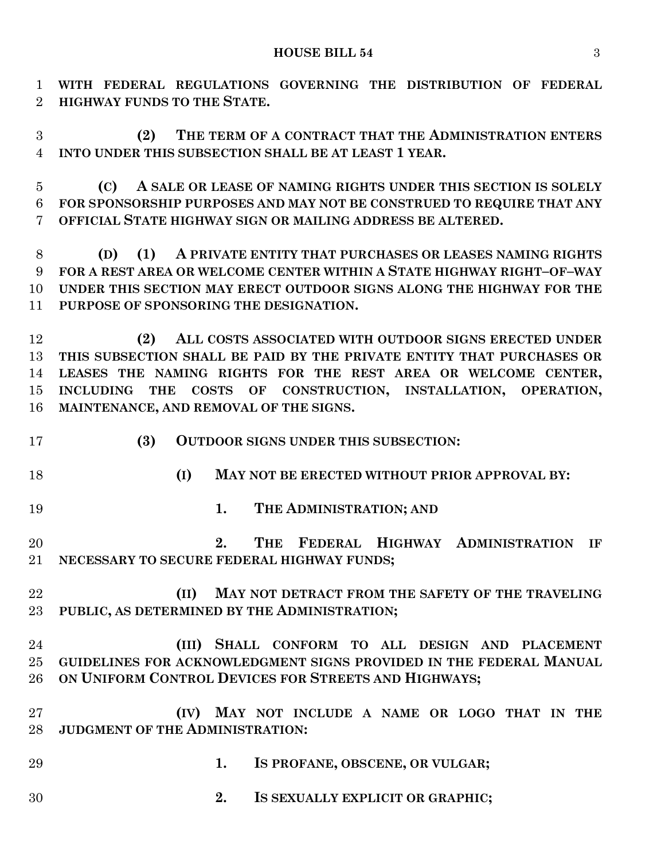**WITH FEDERAL REGULATIONS GOVERNING THE DISTRIBUTION OF FEDERAL HIGHWAY FUNDS TO THE STATE.**

 **(2) THE TERM OF A CONTRACT THAT THE ADMINISTRATION ENTERS INTO UNDER THIS SUBSECTION SHALL BE AT LEAST 1 YEAR.**

 **(C) A SALE OR LEASE OF NAMING RIGHTS UNDER THIS SECTION IS SOLELY FOR SPONSORSHIP PURPOSES AND MAY NOT BE CONSTRUED TO REQUIRE THAT ANY OFFICIAL STATE HIGHWAY SIGN OR MAILING ADDRESS BE ALTERED.**

 **(D) (1) A PRIVATE ENTITY THAT PURCHASES OR LEASES NAMING RIGHTS FOR A REST AREA OR WELCOME CENTER WITHIN A STATE HIGHWAY RIGHT–OF–WAY UNDER THIS SECTION MAY ERECT OUTDOOR SIGNS ALONG THE HIGHWAY FOR THE PURPOSE OF SPONSORING THE DESIGNATION.**

 **(2) ALL COSTS ASSOCIATED WITH OUTDOOR SIGNS ERECTED UNDER THIS SUBSECTION SHALL BE PAID BY THE PRIVATE ENTITY THAT PURCHASES OR LEASES THE NAMING RIGHTS FOR THE REST AREA OR WELCOME CENTER, INCLUDING THE COSTS OF CONSTRUCTION, INSTALLATION, OPERATION, MAINTENANCE, AND REMOVAL OF THE SIGNS.**

- **(3) OUTDOOR SIGNS UNDER THIS SUBSECTION:**
- 
- **(I) MAY NOT BE ERECTED WITHOUT PRIOR APPROVAL BY:**
- **1. THE ADMINISTRATION; AND**

 **2. THE FEDERAL HIGHWAY ADMINISTRATION IF NECESSARY TO SECURE FEDERAL HIGHWAY FUNDS;**

 **(II) MAY NOT DETRACT FROM THE SAFETY OF THE TRAVELING PUBLIC, AS DETERMINED BY THE ADMINISTRATION;**

# **(III) SHALL CONFORM TO ALL DESIGN AND PLACEMENT GUIDELINES FOR ACKNOWLEDGMENT SIGNS PROVIDED IN THE FEDERAL MANUAL ON UNIFORM CONTROL DEVICES FOR STREETS AND HIGHWAYS;**

- **(IV) MAY NOT INCLUDE A NAME OR LOGO THAT IN THE JUDGMENT OF THE ADMINISTRATION:**
- **1. IS PROFANE, OBSCENE, OR VULGAR;**
- **2. IS SEXUALLY EXPLICIT OR GRAPHIC;**